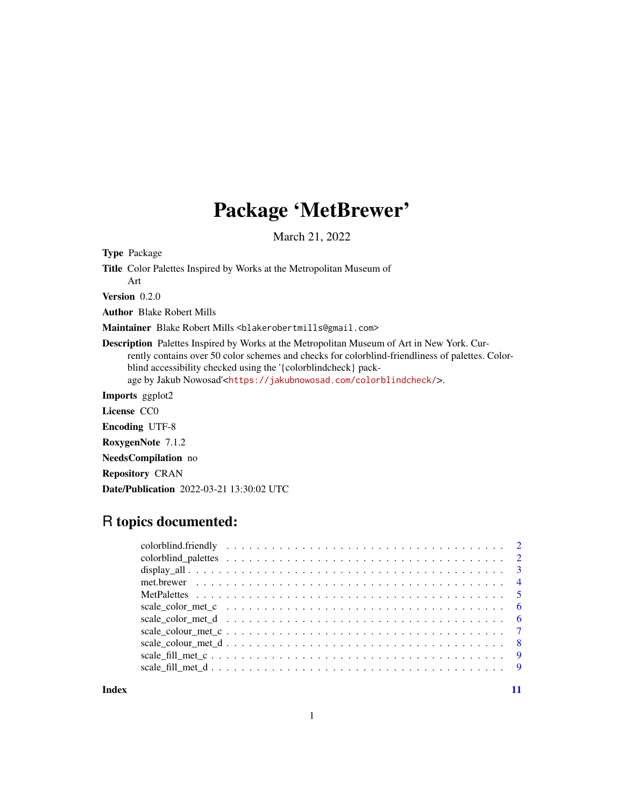# Package 'MetBrewer'

March 21, 2022

<span id="page-0-0"></span>Type Package

Title Color Palettes Inspired by Works at the Metropolitan Museum of

Art Version 0.2.0

Author Blake Robert Mills

Maintainer Blake Robert Mills <blakerobertmills@gmail.com>

Description Palettes Inspired by Works at the Metropolitan Museum of Art in New York. Currently contains over 50 color schemes and checks for colorblind-friendliness of palettes. Colorblind accessibility checked using the '{colorblindcheck} package by Jakub Nowosad'<<https://jakubnowosad.com/colorblindcheck/>>.

Imports ggplot2

License CC0

Encoding UTF-8

RoxygenNote 7.1.2

NeedsCompilation no

Repository CRAN

Date/Publication 2022-03-21 13:30:02 UTC

# R topics documented:

**Index** [11](#page-10-0)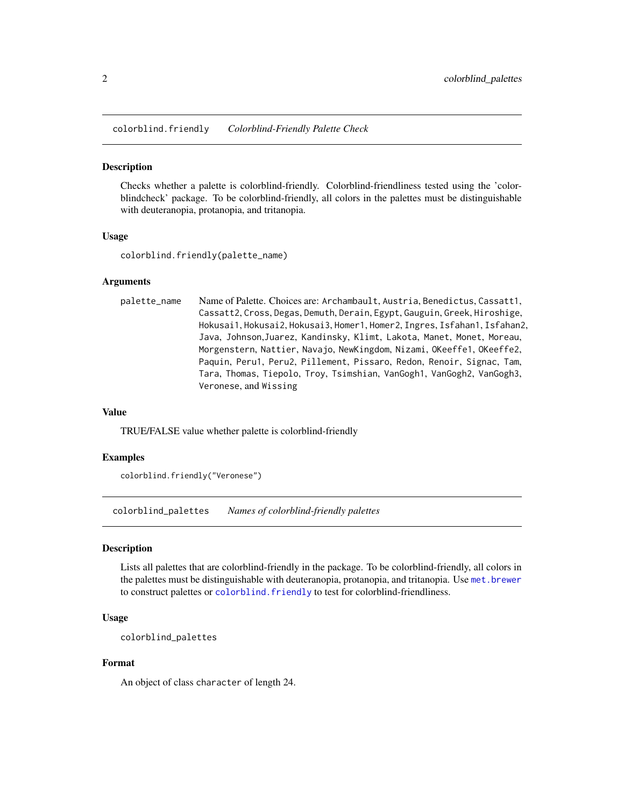<span id="page-1-1"></span><span id="page-1-0"></span>colorblind.friendly *Colorblind-Friendly Palette Check*

#### Description

Checks whether a palette is colorblind-friendly. Colorblind-friendliness tested using the 'colorblindcheck' package. To be colorblind-friendly, all colors in the palettes must be distinguishable with deuteranopia, protanopia, and tritanopia.

#### Usage

colorblind.friendly(palette\_name)

#### Arguments

| palette_name | Name of Palette. Choices are: Archambault, Austria, Benedictus, Cassatt1, |
|--------------|---------------------------------------------------------------------------|
|              | Cassatt2, Cross, Degas, Demuth, Derain, Egypt, Gauguin, Greek, Hiroshige, |
|              | Hokusai1, Hokusai2, Hokusai3, Homer1, Homer2, Ingres, Isfahan1, Isfahan2, |
|              | Java, Johnson,Juarez, Kandinsky, Klimt, Lakota, Manet, Monet, Moreau,     |
|              | Morgenstern, Nattier, Navajo, NewKingdom, Nizami, OKeeffe1, OKeeffe2,     |
|              | Paquin, Peru1, Peru2, Pillement, Pissaro, Redon, Renoir, Signac, Tam,     |
|              | Tara, Thomas, Tiepolo, Troy, Tsimshian, VanGogh1, VanGogh2, VanGogh3,     |
|              | Veronese, and Wissing                                                     |

#### Value

TRUE/FALSE value whether palette is colorblind-friendly

#### Examples

colorblind.friendly("Veronese")

colorblind\_palettes *Names of colorblind-friendly palettes*

#### Description

Lists all palettes that are colorblind-friendly in the package. To be colorblind-friendly, all colors in the palettes must be distinguishable with deuteranopia, protanopia, and tritanopia. Use [met.brewer](#page-3-1) to construct palettes or [colorblind.friendly](#page-1-1) to test for colorblind-friendliness.

#### Usage

```
colorblind_palettes
```
#### Format

An object of class character of length 24.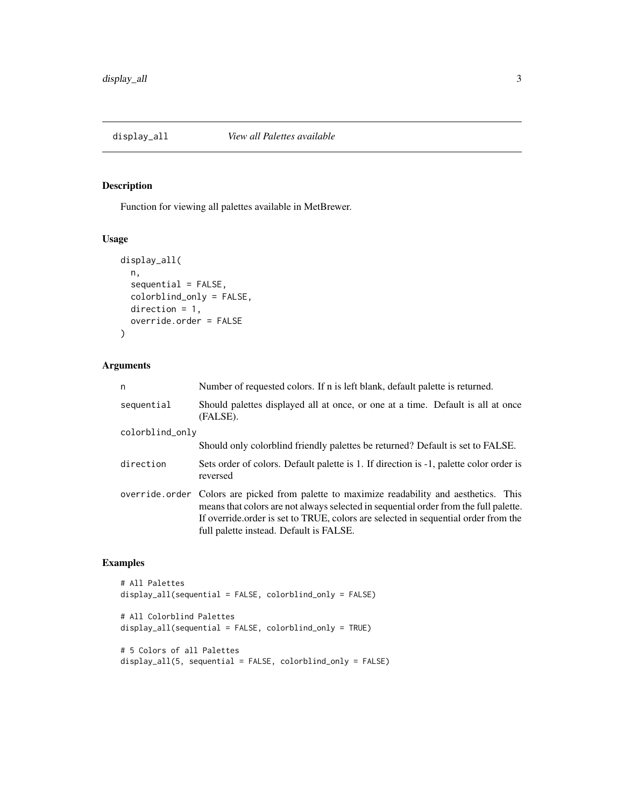<span id="page-2-0"></span>

#### Description

Function for viewing all palettes available in MetBrewer.

#### Usage

```
display_all(
 n,
  sequential = FALSE,
 colorblind_only = FALSE,
 direction = 1,
 override.order = FALSE
)
```
#### Arguments

| n               | Number of requested colors. If n is left blank, default palette is returned.                                                                                                                                                                                                                                        |  |  |  |  |  |  |  |
|-----------------|---------------------------------------------------------------------------------------------------------------------------------------------------------------------------------------------------------------------------------------------------------------------------------------------------------------------|--|--|--|--|--|--|--|
| sequential      | Should palettes displayed all at once, or one at a time. Default is all at once<br>(FALSE).                                                                                                                                                                                                                         |  |  |  |  |  |  |  |
| colorblind_only |                                                                                                                                                                                                                                                                                                                     |  |  |  |  |  |  |  |
|                 | Should only colorblind friendly palettes be returned? Default is set to FALSE.                                                                                                                                                                                                                                      |  |  |  |  |  |  |  |
| direction       | Sets order of colors. Default palette is 1. If direction is -1, palette color order is<br>reversed                                                                                                                                                                                                                  |  |  |  |  |  |  |  |
|                 | override.order Colors are picked from palette to maximize readability and aesthetics. This<br>means that colors are not always selected in sequential order from the full palette.<br>If override order is set to TRUE, colors are selected in sequential order from the<br>full palette instead. Default is FALSE. |  |  |  |  |  |  |  |

#### Examples

```
# All Palettes
display_all(sequential = FALSE, colorblind_only = FALSE)
# All Colorblind Palettes
display_all(sequential = FALSE, colorblind_only = TRUE)
# 5 Colors of all Palettes
display_all(5, sequential = FALSE, colorblind_only = FALSE)
```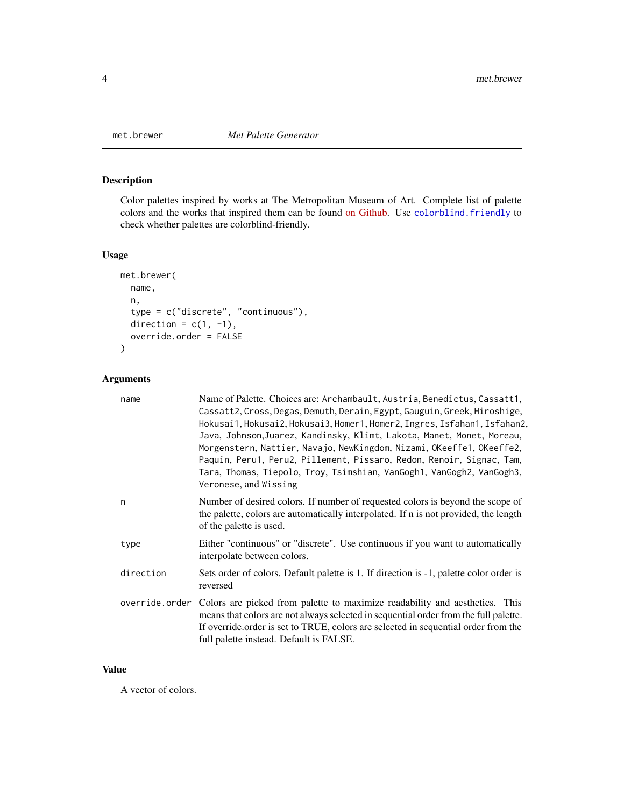<span id="page-3-1"></span><span id="page-3-0"></span>

### Description

Color palettes inspired by works at The Metropolitan Museum of Art. Complete list of palette colors and the works that inspired them can be found [on Github.](https://github.com/BlakeRMills/MetBrewer) Use [colorblind.friendly](#page-1-1) to check whether palettes are colorblind-friendly.

#### Usage

```
met.brewer(
  name,
  n,
  type = c("discrete", "continuous"),
  direction = c(1, -1),
  override.order = FALSE
\mathcal{L}
```
#### Arguments

| name      | Name of Palette. Choices are: Archambault, Austria, Benedictus, Cassatt1,<br>Cassatt2, Cross, Degas, Demuth, Derain, Egypt, Gauguin, Greek, Hiroshige,<br>Hokusai1, Hokusai2, Hokusai3, Homer1, Homer2, Ingres, Isfahan1, Isfahan2,<br>Java, Johnson, Juarez, Kandinsky, Klimt, Lakota, Manet, Monet, Moreau,<br>Morgenstern, Nattier, Navajo, NewKingdom, Nizami, OKeeffe1, OKeeffe2,<br>Paquin, Peru1, Peru2, Pillement, Pissaro, Redon, Renoir, Signac, Tam,<br>Tara, Thomas, Tiepolo, Troy, Tsimshian, VanGogh1, VanGogh2, VanGogh3,<br>Veronese, and Wissing |
|-----------|-------------------------------------------------------------------------------------------------------------------------------------------------------------------------------------------------------------------------------------------------------------------------------------------------------------------------------------------------------------------------------------------------------------------------------------------------------------------------------------------------------------------------------------------------------------------|
| n         | Number of desired colors. If number of requested colors is beyond the scope of<br>the palette, colors are automatically interpolated. If n is not provided, the length<br>of the palette is used.                                                                                                                                                                                                                                                                                                                                                                 |
| type      | Either "continuous" or "discrete". Use continuous if you want to automatically<br>interpolate between colors.                                                                                                                                                                                                                                                                                                                                                                                                                                                     |
| direction | Sets order of colors. Default palette is 1. If direction is -1, palette color order is<br>reversed                                                                                                                                                                                                                                                                                                                                                                                                                                                                |
|           | override order Colors are picked from palette to maximize readability and aesthetics. This<br>means that colors are not always selected in sequential order from the full palette.<br>If override order is set to TRUE, colors are selected in sequential order from the<br>full palette instead. Default is FALSE.                                                                                                                                                                                                                                               |

#### Value

A vector of colors.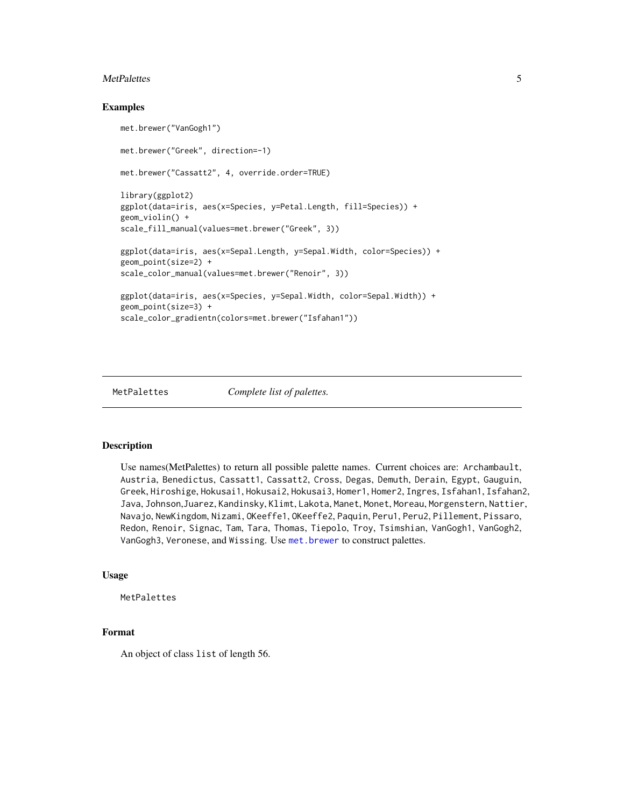#### <span id="page-4-0"></span>MetPalettes 5

#### Examples

```
met.brewer("VanGogh1")
met.brewer("Greek", direction=-1)
met.brewer("Cassatt2", 4, override.order=TRUE)
library(ggplot2)
ggplot(data=iris, aes(x=Species, y=Petal.Length, fill=Species)) +
geom_violin() +
scale_fill_manual(values=met.brewer("Greek", 3))
ggplot(data=iris, aes(x=Sepal.Length, y=Sepal.Width, color=Species)) +
geom_point(size=2) +
scale_color_manual(values=met.brewer("Renoir", 3))
ggplot(data=iris, aes(x=Species, y=Sepal.Width, color=Sepal.Width)) +
geom_point(size=3) +
scale_color_gradientn(colors=met.brewer("Isfahan1"))
```

```
MetPalettes Complete list of palettes.
```
#### Description

Use names(MetPalettes) to return all possible palette names. Current choices are: Archambault, Austria, Benedictus, Cassatt1, Cassatt2, Cross, Degas, Demuth, Derain, Egypt, Gauguin, Greek, Hiroshige, Hokusai1, Hokusai2, Hokusai3, Homer1, Homer2, Ingres, Isfahan1, Isfahan2, Java, Johnson,Juarez, Kandinsky, Klimt, Lakota, Manet, Monet, Moreau, Morgenstern, Nattier, Navajo, NewKingdom, Nizami, OKeeffe1, OKeeffe2, Paquin, Peru1, Peru2, Pillement, Pissaro, Redon, Renoir, Signac, Tam, Tara, Thomas, Tiepolo, Troy, Tsimshian, VanGogh1, VanGogh2, VanGogh3, Veronese, and Wissing. Use [met.brewer](#page-3-1) to construct palettes.

#### Usage

MetPalettes

#### Format

An object of class list of length 56.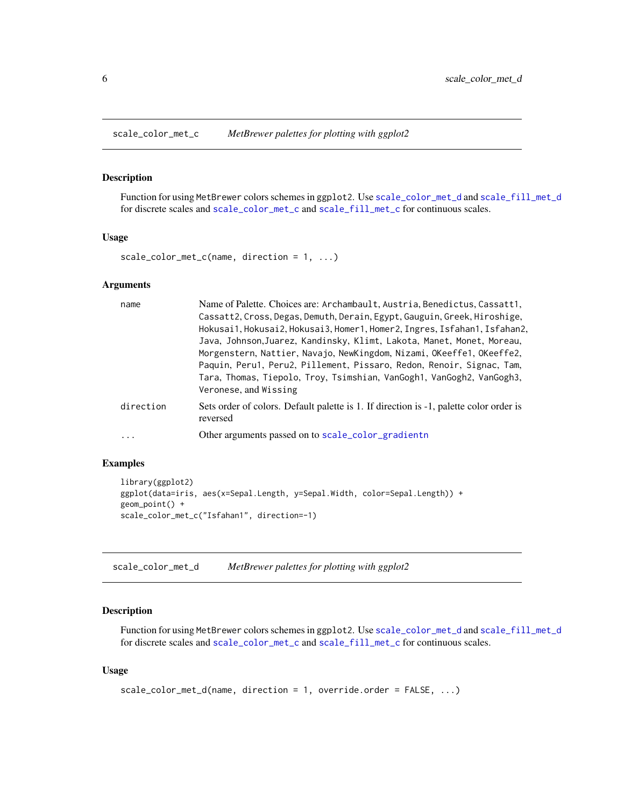<span id="page-5-2"></span><span id="page-5-0"></span>

#### Description

Function for using MetBrewer colors schemes in ggplot2. Use [scale\\_color\\_met\\_d](#page-5-1) and [scale\\_fill\\_met\\_d](#page-8-1) for discrete scales and [scale\\_color\\_met\\_c](#page-5-2) and [scale\\_fill\\_met\\_c](#page-8-2) for continuous scales.

#### Usage

scale\_color\_met\_c(name, direction = 1, ...)

#### Arguments

| name      | Name of Palette. Choices are: Archambault, Austria, Benedictus, Cassatt1,                          |
|-----------|----------------------------------------------------------------------------------------------------|
|           | Cassatt2, Cross, Degas, Demuth, Derain, Egypt, Gauguin, Greek, Hiroshige,                          |
|           | Hokusai1, Hokusai2, Hokusai3, Homer1, Homer2, Ingres, Isfahan1, Isfahan2,                          |
|           | Java, Johnson, Juarez, Kandinsky, Klimt, Lakota, Manet, Monet, Moreau,                             |
|           | Morgenstern, Nattier, Navajo, NewKingdom, Nizami, OKeeffe1, OKeeffe2,                              |
|           | Paquin, Peru1, Peru2, Pillement, Pissaro, Redon, Renoir, Signac, Tam,                              |
|           | Tara, Thomas, Tiepolo, Troy, Tsimshian, VanGogh1, VanGogh2, VanGogh3,                              |
|           | Veronese, and Wissing                                                                              |
| direction | Sets order of colors. Default palette is 1. If direction is -1, palette color order is<br>reversed |
| $\cdots$  | Other arguments passed on to scale_color_gradientn                                                 |

#### Examples

```
library(ggplot2)
ggplot(data=iris, aes(x=Sepal.Length, y=Sepal.Width, color=Sepal.Length)) +
geom_point() +
scale_color_met_c("Isfahan1", direction=-1)
```
<span id="page-5-1"></span>scale\_color\_met\_d *MetBrewer palettes for plotting with ggplot2*

#### Description

Function for using MetBrewer colors schemes in ggplot2. Use [scale\\_color\\_met\\_d](#page-5-1) and [scale\\_fill\\_met\\_d](#page-8-1) for discrete scales and [scale\\_color\\_met\\_c](#page-5-2) and [scale\\_fill\\_met\\_c](#page-8-2) for continuous scales.

#### Usage

```
scale_color_met_d(name, direction = 1, override.order = FALSE, ...)
```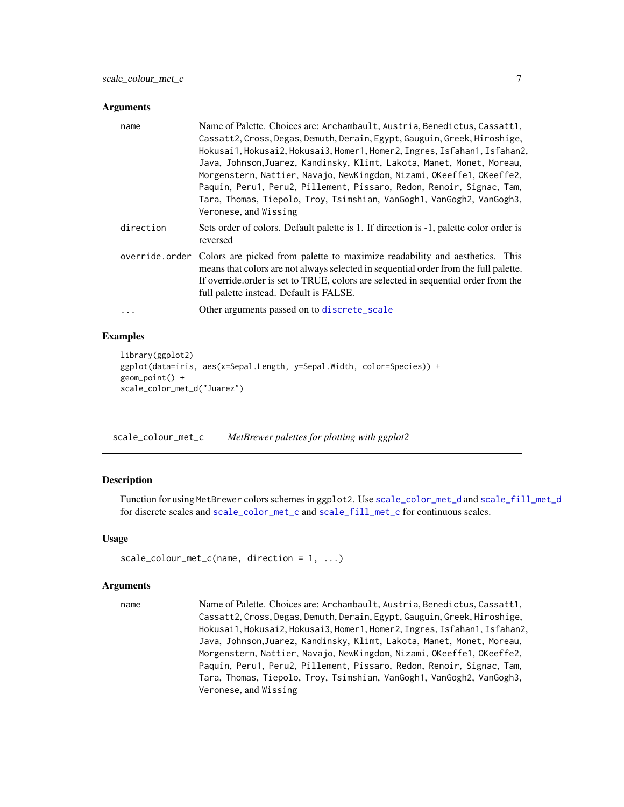#### <span id="page-6-0"></span>**Arguments**

| name           | Name of Palette. Choices are: Archambault, Austria, Benedictus, Cassatt1,<br>Cassatt2, Cross, Degas, Demuth, Derain, Egypt, Gauguin, Greek, Hiroshige,<br>Hokusai1, Hokusai2, Hokusai3, Homer1, Homer2, Ingres, Isfahan1, Isfahan2,<br>Java, Johnson, Juarez, Kandinsky, Klimt, Lakota, Manet, Monet, Moreau,<br>Morgenstern, Nattier, Navajo, NewKingdom, Nizami, OKeeffe1, OKeeffe2,<br>Paquin, Peru1, Peru2, Pillement, Pissaro, Redon, Renoir, Signac, Tam,<br>Tara, Thomas, Tiepolo, Troy, Tsimshian, VanGogh1, VanGogh2, VanGogh3,<br>Veronese, and Wissing |
|----------------|-------------------------------------------------------------------------------------------------------------------------------------------------------------------------------------------------------------------------------------------------------------------------------------------------------------------------------------------------------------------------------------------------------------------------------------------------------------------------------------------------------------------------------------------------------------------|
| direction      | Sets order of colors. Default palette is 1. If direction is -1, palette color order is<br>reversed                                                                                                                                                                                                                                                                                                                                                                                                                                                                |
| override.order | Colors are picked from palette to maximize readability and aesthetics. This<br>means that colors are not always selected in sequential order from the full palette.<br>If override order is set to TRUE, colors are selected in sequential order from the<br>full palette instead. Default is FALSE.                                                                                                                                                                                                                                                              |
| $\cdots$       | Other arguments passed on to discrete_scale                                                                                                                                                                                                                                                                                                                                                                                                                                                                                                                       |

#### Examples

```
library(ggplot2)
ggplot(data=iris, aes(x=Sepal.Length, y=Sepal.Width, color=Species)) +
geom_point() +
scale_color_met_d("Juarez")
```
scale\_colour\_met\_c *MetBrewer palettes for plotting with ggplot2*

#### Description

Function for using MetBrewer colors schemes in ggplot2. Use [scale\\_color\\_met\\_d](#page-5-1) and [scale\\_fill\\_met\\_d](#page-8-1) for discrete scales and [scale\\_color\\_met\\_c](#page-5-2) and [scale\\_fill\\_met\\_c](#page-8-2) for continuous scales.

#### Usage

```
scale_colour_met_c(name, direction = 1, ...)
```
#### Arguments

name Name of Palette. Choices are: Archambault, Austria, Benedictus, Cassatt1, Cassatt2, Cross, Degas, Demuth, Derain, Egypt, Gauguin, Greek, Hiroshige, Hokusai1, Hokusai2, Hokusai3, Homer1, Homer2, Ingres, Isfahan1, Isfahan2, Java, Johnson,Juarez, Kandinsky, Klimt, Lakota, Manet, Monet, Moreau, Morgenstern, Nattier, Navajo, NewKingdom, Nizami, OKeeffe1, OKeeffe2, Paquin, Peru1, Peru2, Pillement, Pissaro, Redon, Renoir, Signac, Tam, Tara, Thomas, Tiepolo, Troy, Tsimshian, VanGogh1, VanGogh2, VanGogh3, Veronese, and Wissing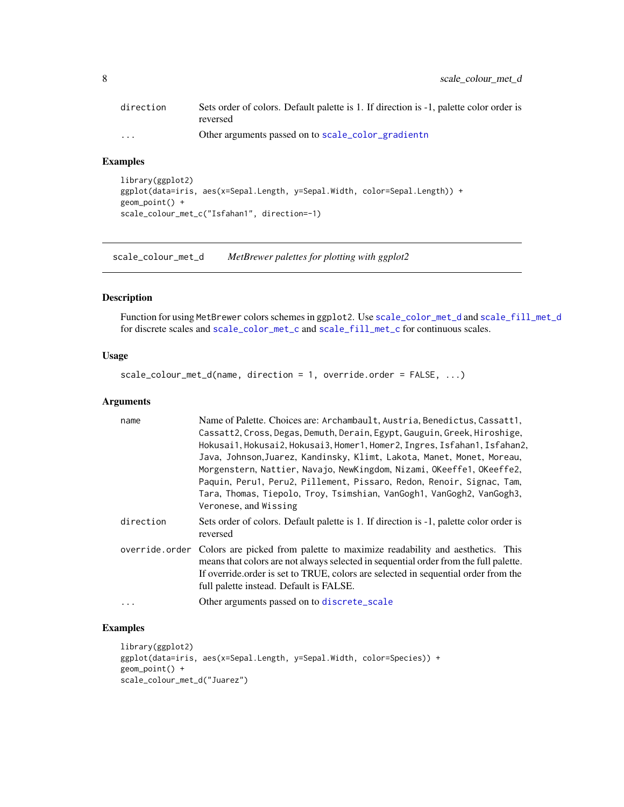<span id="page-7-0"></span>

| direction | Sets order of colors. Default palette is 1. If direction is -1, palette color order is |
|-----------|----------------------------------------------------------------------------------------|
|           | reversed                                                                               |
| $\cdots$  | Other arguments passed on to scale_color_gradientn                                     |

#### Examples

```
library(ggplot2)
ggplot(data=iris, aes(x=Sepal.Length, y=Sepal.Width, color=Sepal.Length)) +
geom_point() +
scale_colour_met_c("Isfahan1", direction=-1)
```
scale\_colour\_met\_d *MetBrewer palettes for plotting with ggplot2*

#### Description

Function for using MetBrewer colors schemes in ggplot2. Use [scale\\_color\\_met\\_d](#page-5-1) and [scale\\_fill\\_met\\_d](#page-8-1) for discrete scales and [scale\\_color\\_met\\_c](#page-5-2) and [scale\\_fill\\_met\\_c](#page-8-2) for continuous scales.

#### Usage

```
scale_colour_met_d(name, direction = 1, override.order = FALSE, ...)
```
#### Arguments

| name           | Name of Palette. Choices are: Archambault, Austria, Benedictus, Cassatt1,<br>Cassatt2, Cross, Degas, Demuth, Derain, Egypt, Gauguin, Greek, Hiroshige,<br>Hokusai1, Hokusai2, Hokusai3, Homer1, Homer2, Ingres, Isfahan1, Isfahan2,<br>Java, Johnson, Juarez, Kandinsky, Klimt, Lakota, Manet, Monet, Moreau,<br>Morgenstern, Nattier, Navajo, NewKingdom, Nizami, OKeeffe1, OKeeffe2,<br>Paquin, Peru1, Peru2, Pillement, Pissaro, Redon, Renoir, Signac, Tam,<br>Tara, Thomas, Tiepolo, Troy, Tsimshian, VanGogh1, VanGogh2, VanGogh3,<br>Veronese, and Wissing |
|----------------|-------------------------------------------------------------------------------------------------------------------------------------------------------------------------------------------------------------------------------------------------------------------------------------------------------------------------------------------------------------------------------------------------------------------------------------------------------------------------------------------------------------------------------------------------------------------|
| direction      | Sets order of colors. Default palette is 1. If direction is -1, palette color order is<br>reversed                                                                                                                                                                                                                                                                                                                                                                                                                                                                |
| override.order | Colors are picked from palette to maximize readability and aesthetics. This<br>means that colors are not always selected in sequential order from the full palette.<br>If override order is set to TRUE, colors are selected in sequential order from the<br>full palette instead. Default is FALSE.                                                                                                                                                                                                                                                              |
| $\cdots$       | Other arguments passed on to discrete_scale                                                                                                                                                                                                                                                                                                                                                                                                                                                                                                                       |

#### Examples

```
library(ggplot2)
ggplot(data=iris, aes(x=Sepal.Length, y=Sepal.Width, color=Species)) +
geom_point() +
scale_colour_met_d("Juarez")
```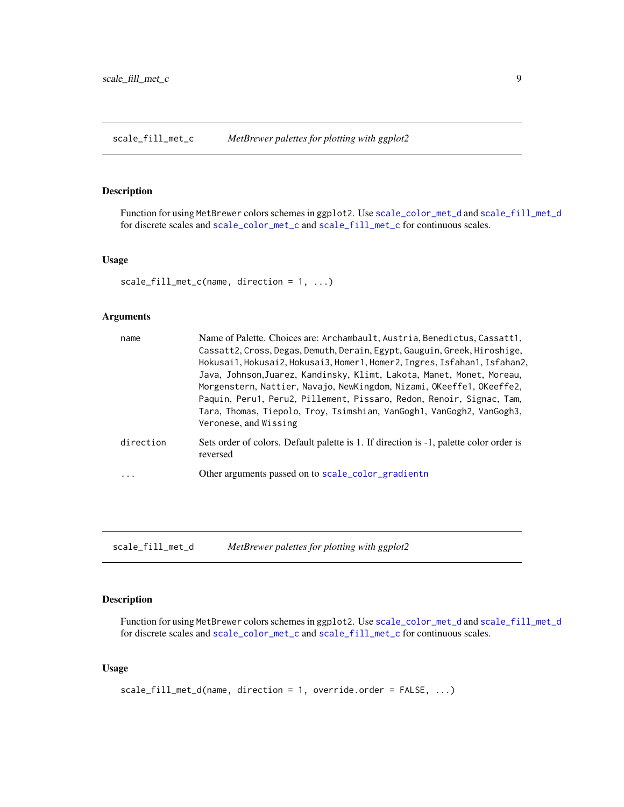<span id="page-8-2"></span><span id="page-8-0"></span>scale\_fill\_met\_c *MetBrewer palettes for plotting with ggplot2*

#### Description

Function for using MetBrewer colors schemes in ggplot2. Use [scale\\_color\\_met\\_d](#page-5-1) and [scale\\_fill\\_met\\_d](#page-8-1) for discrete scales and [scale\\_color\\_met\\_c](#page-5-2) and [scale\\_fill\\_met\\_c](#page-8-2) for continuous scales.

#### Usage

scale\_fill\_met\_c(name, direction = 1, ...)

#### Arguments

| name      | Name of Palette. Choices are: Archambault, Austria, Benedictus, Cassatt1,<br>Cassatt2, Cross, Degas, Demuth, Derain, Egypt, Gauguin, Greek, Hiroshige,<br>Hokusai1, Hokusai2, Hokusai3, Homer1, Homer2, Ingres, Isfahan1, Isfahan2,<br>Java, Johnson, Juarez, Kandinsky, Klimt, Lakota, Manet, Monet, Moreau,<br>Morgenstern, Nattier, Navajo, NewKingdom, Nizami, OKeeffe1, OKeeffe2,<br>Paquin, Peru1, Peru2, Pillement, Pissaro, Redon, Renoir, Signac, Tam,<br>Tara, Thomas, Tiepolo, Troy, Tsimshian, VanGogh1, VanGogh2, VanGogh3,<br>Veronese, and Wissing |
|-----------|-------------------------------------------------------------------------------------------------------------------------------------------------------------------------------------------------------------------------------------------------------------------------------------------------------------------------------------------------------------------------------------------------------------------------------------------------------------------------------------------------------------------------------------------------------------------|
| direction | Sets order of colors. Default palette is 1. If direction is -1, palette color order is<br>reversed                                                                                                                                                                                                                                                                                                                                                                                                                                                                |
| .         | Other arguments passed on to scale_color_gradientn                                                                                                                                                                                                                                                                                                                                                                                                                                                                                                                |

<span id="page-8-1"></span>scale\_fill\_met\_d *MetBrewer palettes for plotting with ggplot2*

#### Description

Function for using MetBrewer colors schemes in ggplot2. Use [scale\\_color\\_met\\_d](#page-5-1) and [scale\\_fill\\_met\\_d](#page-8-1) for discrete scales and [scale\\_color\\_met\\_c](#page-5-2) and [scale\\_fill\\_met\\_c](#page-8-2) for continuous scales.

#### Usage

```
scale_fill_met_d(name, direction = 1, override.order = FALSE, ...)
```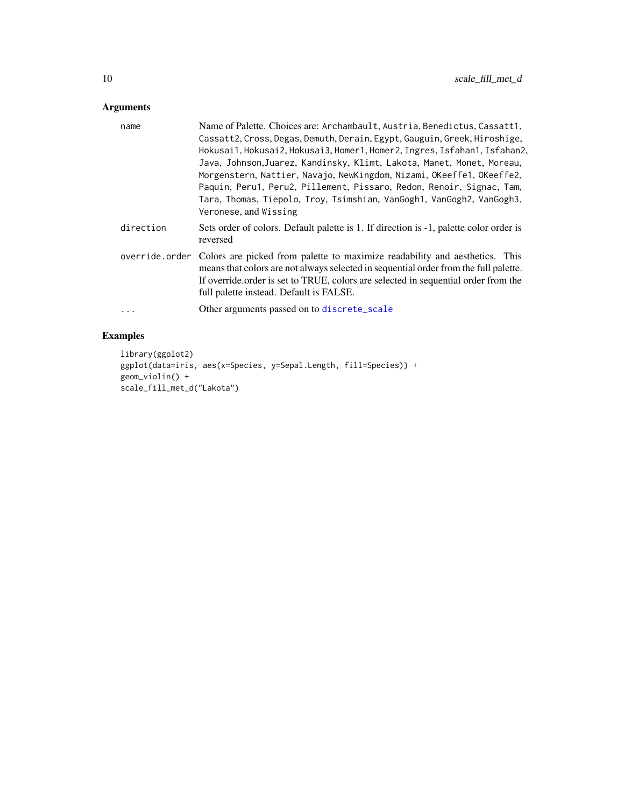## <span id="page-9-0"></span>Arguments

| name       | Name of Palette. Choices are: Archambault, Austria, Benedictus, Cassatt1,                                                                                                                                                                                                                                           |
|------------|---------------------------------------------------------------------------------------------------------------------------------------------------------------------------------------------------------------------------------------------------------------------------------------------------------------------|
|            | Cassatt2, Cross, Degas, Demuth, Derain, Egypt, Gauguin, Greek, Hiroshige,                                                                                                                                                                                                                                           |
|            | Hokusai1, Hokusai2, Hokusai3, Homer1, Homer2, Ingres, Isfahan1, Isfahan2,                                                                                                                                                                                                                                           |
|            | Java, Johnson, Juarez, Kandinsky, Klimt, Lakota, Manet, Monet, Moreau,                                                                                                                                                                                                                                              |
|            | Morgenstern, Nattier, Navajo, NewKingdom, Nizami, OKeeffe1, OKeeffe2,                                                                                                                                                                                                                                               |
|            | Paquin, Peru1, Peru2, Pillement, Pissaro, Redon, Renoir, Signac, Tam,                                                                                                                                                                                                                                               |
|            | Tara, Thomas, Tiepolo, Troy, Tsimshian, VanGogh1, VanGogh2, VanGogh3,                                                                                                                                                                                                                                               |
|            | Veronese, and Wissing                                                                                                                                                                                                                                                                                               |
| direction  | Sets order of colors. Default palette is 1. If direction is -1, palette color order is<br>reversed                                                                                                                                                                                                                  |
|            | override order Colors are picked from palette to maximize readability and aesthetics. This<br>means that colors are not always selected in sequential order from the full palette.<br>If override order is set to TRUE, colors are selected in sequential order from the<br>full palette instead. Default is FALSE. |
| $\ddots$ . | Other arguments passed on to discrete_scale                                                                                                                                                                                                                                                                         |

## Examples

```
library(ggplot2)
ggplot(data=iris, aes(x=Species, y=Sepal.Length, fill=Species)) +
geom_violin() +
scale_fill_met_d("Lakota")
```